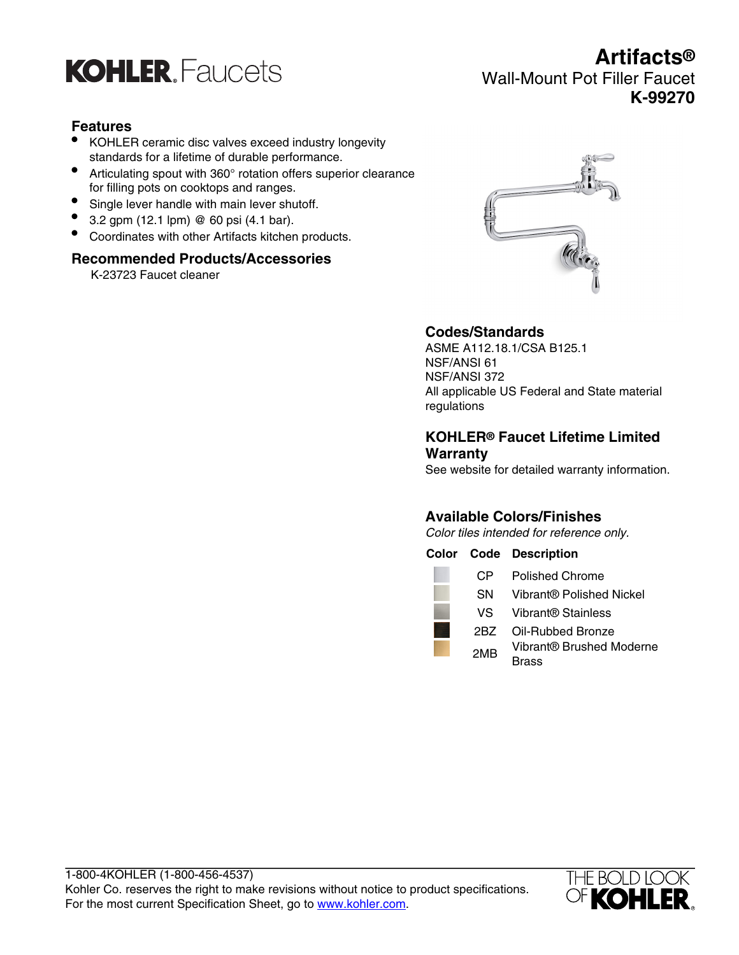

## **Features**

- KOHLER ceramic disc valves exceed industry longevity standards for a lifetime of durable performance.
- Articulating spout with 360° rotation offers superior clearance for filling pots on cooktops and ranges.
- Single lever handle with main lever shutoff.
- 3.2 gpm (12.1 lpm)  $@$  60 psi (4.1 bar).
- Coordinates with other Artifacts kitchen products.

#### **Recommended Products/Accessories**

K-23723 Faucet cleaner



### **Codes/Standards**

ASME A112.18.1/CSA B125.1 NSF/ANSI 61 NSF/ANSI 372 All applicable US Federal and State material regulations

### **KOHLER® Faucet Lifetime Limited Warranty**

See website for detailed warranty information.

## **Available Colors/Finishes**

Color tiles intended for reference only.

#### **Color Code Description**





# **Artifacts®** Wall-Mount Pot Filler Faucet **K-99270**